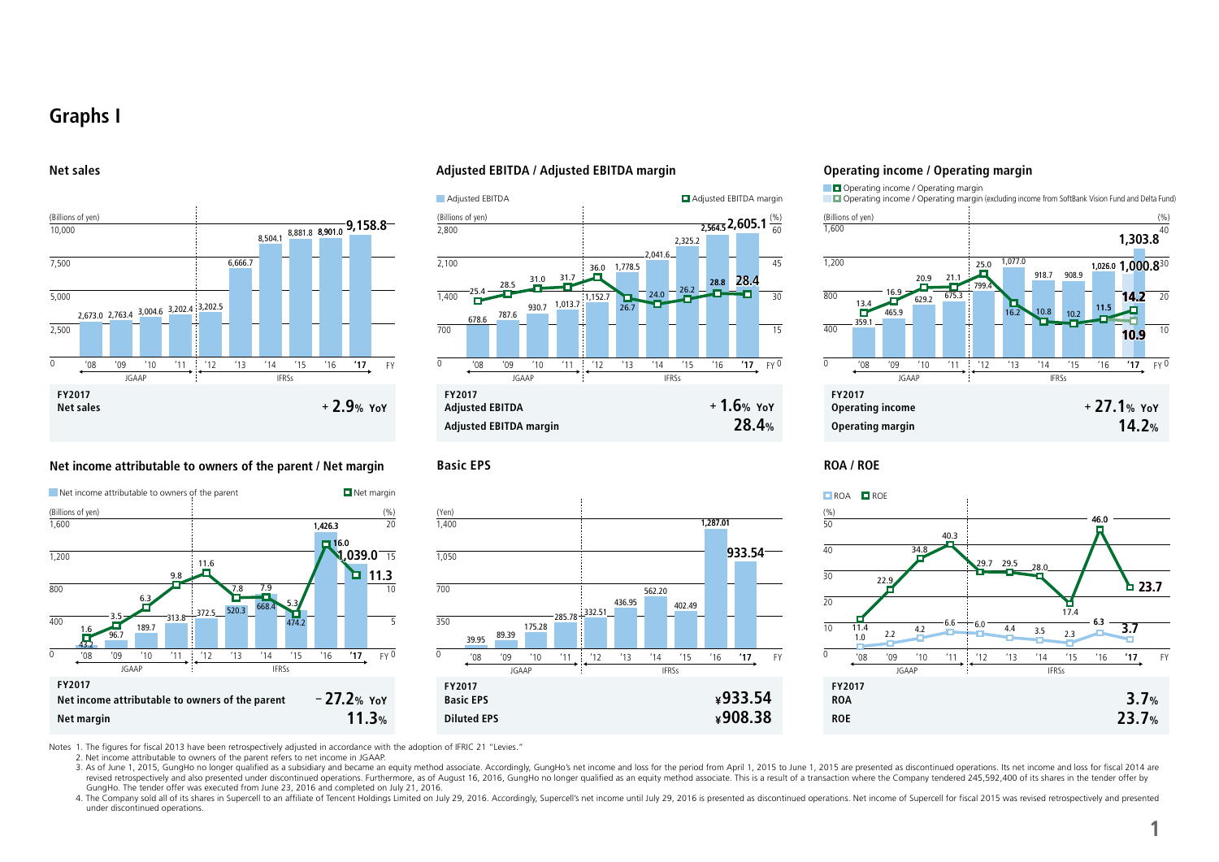## **Graphs I**

#### **Net sales**



#### **Net income attributable to owners of the parent / Net margin**



#### **Adjusted EBITDA / Adjusted EBITDA margin**





#### **Operating income / Operating margin**



#### **Basic EPS ROA / ROE**



Notes 1. The figures for fiscal 2013 have been retrospectively adjusted in accordance with the adoption of IFRIC 21 "Levies."

2. Net income attributable to owners of the parent refers to net income in JGAAP.

3. As of June 1, 2015, GungHo no longer qualified as a subsidiary and became an equity method associate. Accordingly, GungHo's net income and loss for the period from April 1, 2015 to June 1, 2015 are presented as disconti revised retrospectively and also presented under discontinued operations. Furthermore, as of August 16, 2016, GungHo no longer qualified as an equity method associate. This is a result of a transaction where the Company te GungHo. The tender offer was executed from June 23, 2016 and completed on July 21, 2016.

4. The Company sold all of its shares in Supercell to an affiliate of Tencent Holdings Limited on July 29, 2016. Accordingly, Supercell's net income until July 29, 2016 is presented as discontinued operations. Net income o under discontinued operations.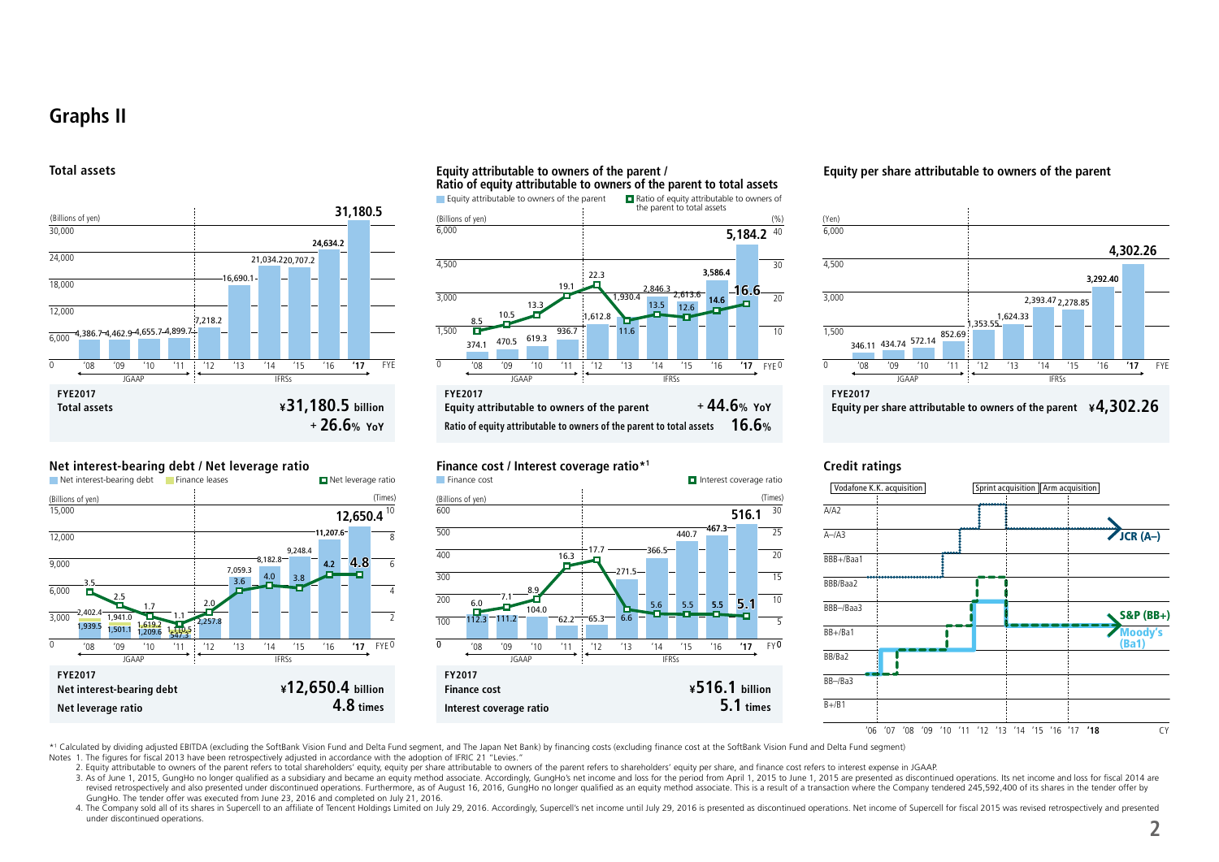## **Graphs II**

#### **Total assets**



#### **Net interest-bearing debt / Net leverage ratio**







#### **Finance cost / Interest coverage ratio\*1**



#### **Equity per share attributable to owners of the parent**



#### **Credit ratings**



\*1 Calculated by dividing adjusted EBITDA (excluding the SoftBank Vision Fund and Delta Fund segment, and The Japan Net Bank) by financing costs (excluding finance cost at the SoftBank Vision Fund and Delta Fund segment)

Notes 1. The figures for fiscal 2013 have been retrospectively adjusted in accordance with the adoption of IFRIC 21 "Levies."

2. Equity attributable to owners of the parent refers to total shareholders' equity, equity per share attributable to owners of the parent refers to shareholders' equity per share attributable to owners of the parent refer

3. As of June 1, 2015, GungHo no longer qualified as a subsidiary and became an equity method associate. Accordingly, GungHo's net income and loss for the period from April 1, 2015 to June 1, 2015 are presented as disconti revised retrospectively and also presented under discontinued operations. Furthermore, as of August 16, 2016, GungHo no longer qualified as an equity method associate. This is a result of a transaction where the Company te GungHo. The tender offer was executed from June 23, 2016 and completed on July 21, 2016.

4. The Company sold all of its shares in Supercell to an affiliate of Tencent Holdings Limited on July 29, 2016. Accordingly, Supercell's net income until July 29, 2016 is presented as discontinued operations. Net income o under discontinued operations.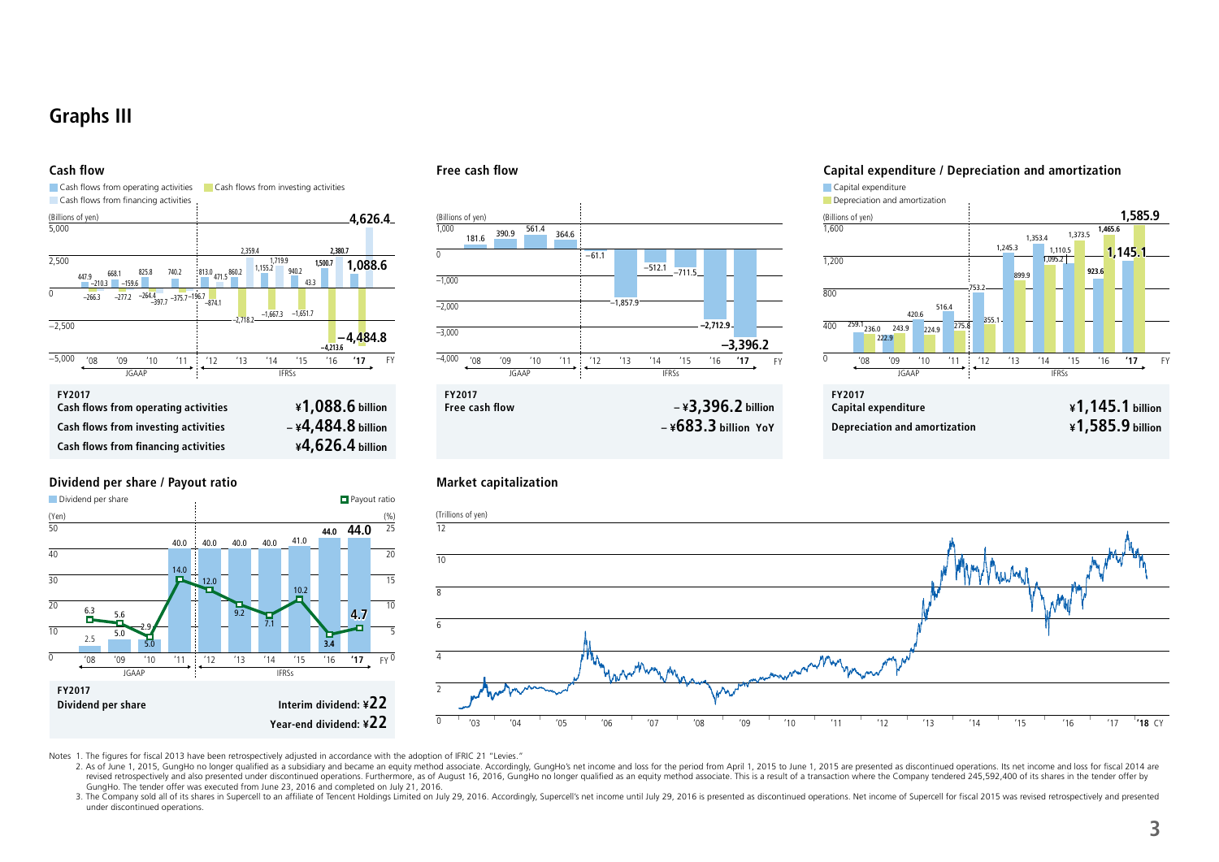# **Graphs III**



### **Dividend per share / Payout ratio**



#### **Cash flow Free cash flow**



#### **Capital expenditure / Depreciation and amortization**





Notes 1. The figures for fiscal 2013 have been retrospectively adjusted in accordance with the adoption of IFRIC 21 "Levies."

2. As of June 1, 2015, GungHo no longer qualified as a subsidiary and became an equity method associate. Accordingly, GungHo's net income and loss for the period from April 1, 2015 to June 1, 2015 are presented as disconti revised retrospectively and also presented under discontinued operations. Furthermore, as of August 16, 2016, GungHo no longer qualified as an equity method associate. This is a result of a transaction where the Company te GungHo. The tender offer was executed from June 23, 2016 and completed on July 21, 2016.

3. The Company sold all of its shares in Supercell to an affiliate of Tencent Holdings Limited on July 29, 2016. Accordingly, Supercell's net income until July 29, 2016 is presented as discontinued operations. Net income o under discontinued operations.

### **Market capitalization**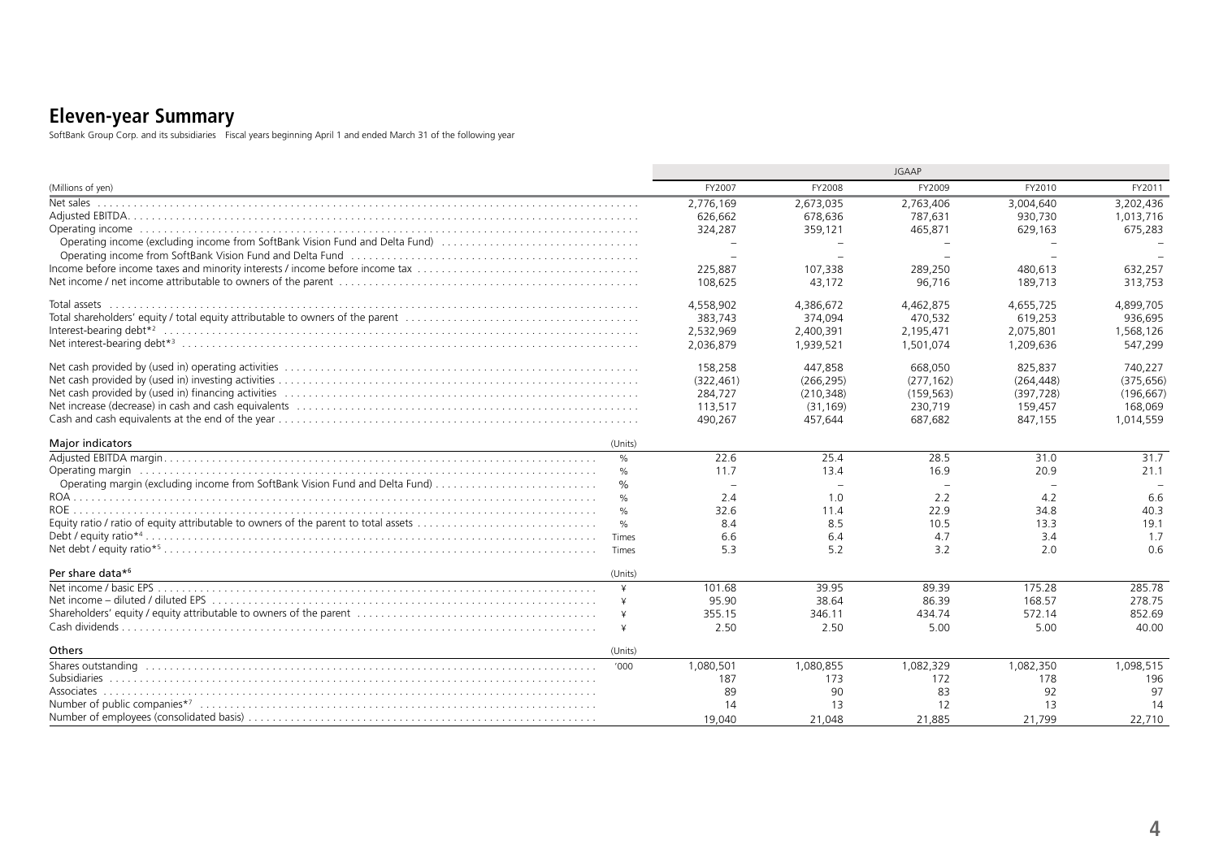## **Eleven-year Summary**

SoftBank Group Corp. and its subsidiaries Fiscal years beginning April 1 and ended March 31 of the following year

|                                                                                                                   |               | <b>JGAAP</b>             |            |            |            |            |
|-------------------------------------------------------------------------------------------------------------------|---------------|--------------------------|------------|------------|------------|------------|
| (Millions of yen)                                                                                                 |               | FY2007                   | FY2008     | FY2009     | FY2010     | FY2011     |
| Net sales                                                                                                         |               | 2,776,169                | 2,673,035  | 2,763,406  | 3,004,640  | 3.202.436  |
|                                                                                                                   |               | 626,662                  | 678,636    | 787,631    | 930,730    | 1,013,716  |
|                                                                                                                   |               | 324,287                  | 359,121    | 465,871    | 629,163    | 675,283    |
| Operating income (excluding income from SoftBank Vision Fund and Delta Fund)                                      |               |                          |            |            |            |            |
| Operating income from SoftBank Vision Fund and Delta Fund (1000) (1000) (1000) (1000) (1000) (1000) (1000) (1000) |               |                          |            |            |            |            |
|                                                                                                                   |               | 225,887                  | 107,338    | 289,250    | 480,613    | 632,257    |
|                                                                                                                   |               | 108,625                  | 43,172     | 96,716     | 189,713    | 313,753    |
|                                                                                                                   |               | 4.558.902                | 4,386,672  | 4.462.875  | 4,655,725  | 4.899.705  |
|                                                                                                                   |               | 383.743                  | 374.094    | 470.532    | 619.253    | 936.695    |
|                                                                                                                   |               | 2,532,969                | 2,400,391  | 2,195,471  | 2,075,801  | 1,568,126  |
|                                                                                                                   |               | 2,036,879                | 1,939,521  | 1,501,074  | 1,209,636  | 547,299    |
|                                                                                                                   |               | 158,258                  | 447.858    | 668,050    | 825.837    | 740.227    |
|                                                                                                                   |               | (322, 461)               | (266, 295) | (277, 162) | (264, 448) | (375, 656) |
|                                                                                                                   |               | 284,727                  | (210, 348) | (159, 563) | (397, 728) | (196, 667) |
|                                                                                                                   |               | 113,517                  | (31, 169)  | 230,719    | 159,457    | 168,069    |
|                                                                                                                   |               | 490,267                  | 457,644    | 687,682    | 847,155    | 1,014,559  |
| <b>Major indicators</b>                                                                                           | (Units)       |                          |            |            |            |            |
|                                                                                                                   | %             | 22.6                     | 25.4       | 28.5       | 31.0       | 31.7       |
| Operating margin entitled to the contract of the contract of the contract of the contract of the contract of t    | %             | 11.7                     | 13.4       | 16.9       | 20.9       | 21.1       |
| Operating margin (excluding income from SoftBank Vision Fund and Delta Fund)                                      | $\frac{0}{0}$ | $\overline{\phantom{a}}$ |            |            |            |            |
|                                                                                                                   | $\%$          | 2.4                      | 1.0        | 2.2        | 4.2        | 6.6        |
|                                                                                                                   | $\%$          | 32.6                     | 11.4       | 22.9       | 34.8       | 40.3       |
|                                                                                                                   | $\frac{0}{0}$ | 8.4                      | 8.5        | 10.5       | 13.3       | 19.1       |
|                                                                                                                   | Times         | 6.6                      | 6.4        | 4.7        | 3.4        | 1.7        |
|                                                                                                                   | Times         | 5.3                      | 5.2        | 3.2        | 2.0        | 0.6        |
| Per share data*6                                                                                                  | (Units)       |                          |            |            |            |            |
|                                                                                                                   | $\angle$      | 101.68                   | 39.95      | 89.39      | 175.28     | 285.78     |
|                                                                                                                   | ¥             | 95.90                    | 38.64      | 86.39      | 168.57     | 278.75     |
|                                                                                                                   | $\ddot{*}$    | 355.15                   | 346.11     | 434.74     | 572.14     | 852.69     |
|                                                                                                                   | ¥             | 2.50                     | 2.50       | 5.00       | 5.00       | 40.00      |
| <b>Others</b>                                                                                                     | (Units)       |                          |            |            |            |            |
|                                                                                                                   | '000          | 1,080,501                | 1,080,855  | 1,082,329  | 1,082,350  | 1,098,515  |
|                                                                                                                   |               | 187                      | 173        | 172        | 178        | 196        |
|                                                                                                                   |               | 89                       | 90         | 83         | 92         | 97         |
|                                                                                                                   |               | 14                       | 13         | 12         | 13         | 14         |
|                                                                                                                   |               | 19.040                   | 21.048     | 21.885     | 21.799     | 22.710     |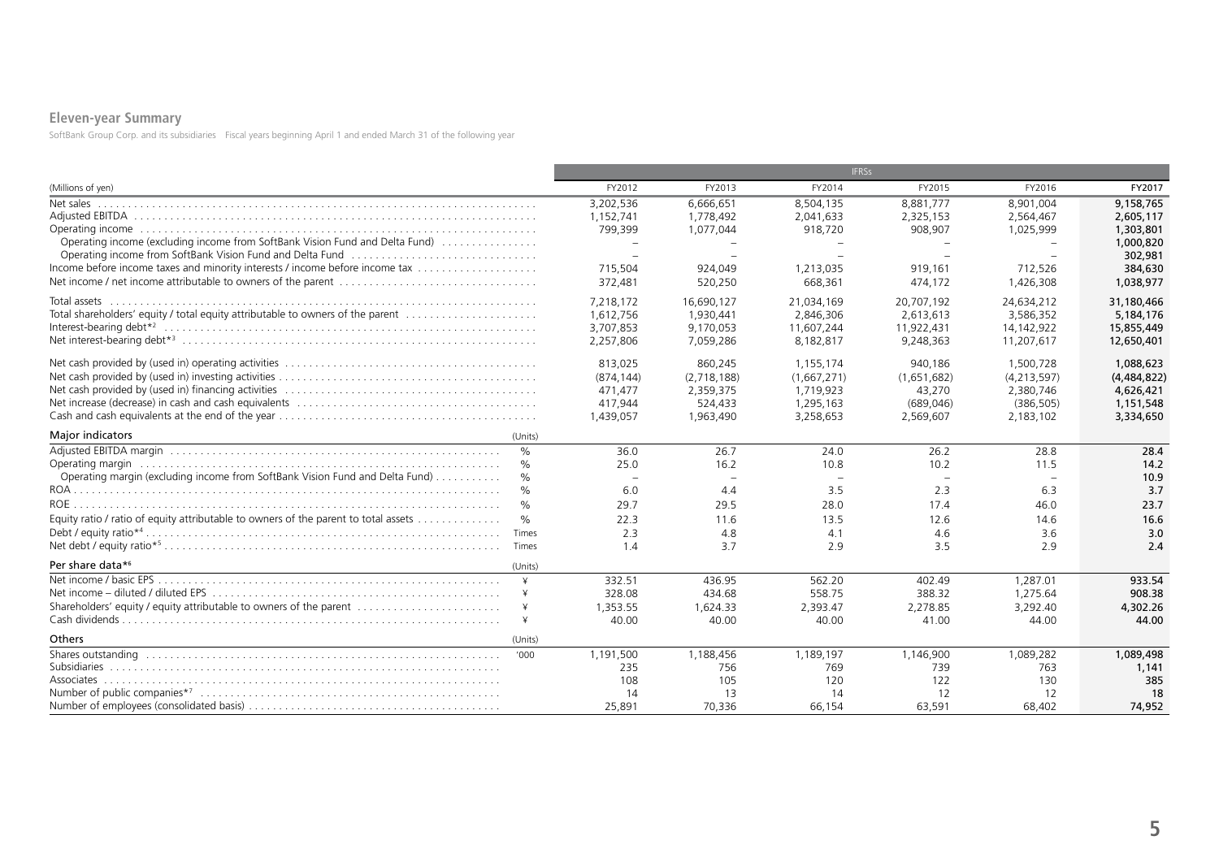## **Eleven-year Summary**

SoftBank Group Corp. and its subsidiaries Fiscal years beginning April 1 and ended March 31 of the following year

|                                                                                               |                                            | <b>IFRSs</b> |             |             |             |                      |  |  |
|-----------------------------------------------------------------------------------------------|--------------------------------------------|--------------|-------------|-------------|-------------|----------------------|--|--|
| (Millions of yen)                                                                             | FY2012                                     | FY2013       | FY2014      | FY2015      | FY2016      | FY2017               |  |  |
| Net sales                                                                                     | 3,202,536                                  | 6.666.651    | 8,504,135   | 8,881,777   | 8,901,004   | 9,158,765            |  |  |
|                                                                                               | 1,152,741                                  | 1,778,492    | 2,041,633   | 2,325,153   | 2,564,467   | 2,605,117            |  |  |
|                                                                                               | 799,399                                    | 1,077,044    | 918,720     | 908,907     | 1,025,999   | 1,303,801            |  |  |
| Operating income (excluding income from SoftBank Vision Fund and Delta Fund)                  | $\overline{\phantom{0}}$<br>$\overline{a}$ |              |             |             |             | 1,000,820<br>302,981 |  |  |
| Income before income taxes and minority interests / income before income tax                  | 715,504                                    | 924.049      | 1,213,035   | 919,161     | 712,526     | 384,630              |  |  |
|                                                                                               | 372,481                                    | 520,250      | 668,361     | 474,172     | 1,426,308   | 1,038,977            |  |  |
| Total assets                                                                                  | 7,218,172                                  | 16,690,127   | 21,034,169  | 20,707,192  | 24,634,212  | 31,180,466           |  |  |
| Total shareholders' equity / total equity attributable to owners of the parent                | 1,612,756                                  | 1.930.441    | 2.846.306   | 2.613.613   | 3,586,352   | 5,184,176            |  |  |
|                                                                                               | 3,707,853                                  | 9,170,053    | 11.607.244  | 11,922,431  | 14,142,922  | 15,855,449           |  |  |
|                                                                                               | 2,257,806                                  | 7,059,286    | 8,182,817   | 9,248,363   | 11,207,617  | 12,650,401           |  |  |
|                                                                                               | 813,025                                    | 860,245      | 1.155.174   | 940.186     | 1,500,728   | 1,088,623            |  |  |
|                                                                                               | (874.144)                                  | (2.718.188)  | (1,667,271) | (1,651,682) | (4,213,597) | (4,484,822)          |  |  |
|                                                                                               | 471,477                                    | 2,359,375    | 1,719,923   | 43,270      | 2,380,746   | 4,626,421            |  |  |
|                                                                                               | 417,944                                    | 524,433      | 1,295,163   | (689, 046)  | (386, 505)  | 1,151,548            |  |  |
|                                                                                               | 1,439,057                                  | 1,963,490    | 3,258,653   | 2,569,607   | 2,183,102   | 3,334,650            |  |  |
| <b>Major indicators</b><br>(Units)                                                            |                                            |              |             |             |             |                      |  |  |
| $\frac{0}{0}$                                                                                 | 36.0                                       | 26.7         | 24.0        | 26.2        | 28.8        | 28.4                 |  |  |
| $\%$                                                                                          | 25.0                                       | 16.2         | 10.8        | 10.2        | 11.5        | 14.2                 |  |  |
| Operating margin (excluding income from SoftBank Vision Fund and Delta Fund)<br>$\frac{0}{0}$ | $\overline{\phantom{a}}$                   | $\sim$       |             |             |             | 10.9                 |  |  |
| $\%$                                                                                          | 6.0                                        | 4.4          | 3.5         | 2.3         | 6.3         | 3.7                  |  |  |
| $\%$                                                                                          | 29.7                                       | 29.5         | 28.0        | 17.4        | 46.0        | 23.7                 |  |  |
| Equity ratio / ratio of equity attributable to owners of the parent to total assets<br>$\%$   | 22.3                                       | 11.6         | 13.5        | 12.6        | 14.6        | 16.6                 |  |  |
| Times                                                                                         | 2.3                                        | 4.8          | 4.1         | 4.6         | 3.6         | 3.0                  |  |  |
|                                                                                               | 1.4                                        | 3.7          | 2.9         | 3.5         | 2.9         | 2.4                  |  |  |
| Per share data*6<br>(Units)                                                                   |                                            |              |             |             |             |                      |  |  |
| $\mathsf{\underline{v}}$                                                                      | 332.51                                     | 436.95       | 562.20      | 402.49      | 1,287.01    | 933.54               |  |  |
|                                                                                               | 328.08                                     | 434.68       | 558.75      | 388.32      | 1,275.64    | 908.38               |  |  |
| Shareholders' equity / equity attributable to owners of the parent                            | 1,353.55                                   | 1,624.33     | 2,393.47    | 2,278.85    | 3,292.40    | 4,302.26             |  |  |
|                                                                                               | 40.00                                      | 40.00        | 40.00       | 41.00       | 44.00       | 44.00                |  |  |
| Others<br>(Units)                                                                             |                                            |              |             |             |             |                      |  |  |
|                                                                                               | 1,191,500                                  | 1.188.456    | 1.189.197   | 1.146.900   | 1,089,282   | 1.089.498            |  |  |
|                                                                                               | 235                                        | 756          | 769         | 739         | 763         | 1.141                |  |  |
|                                                                                               | 108                                        | 105          | 120         | 122         | 130         | 385                  |  |  |
|                                                                                               | 14                                         | 13           | 14          | 12          | 12          | 18                   |  |  |
|                                                                                               | 25,891                                     | 70,336       | 66,154      | 63,591      | 68,402      | 74,952               |  |  |